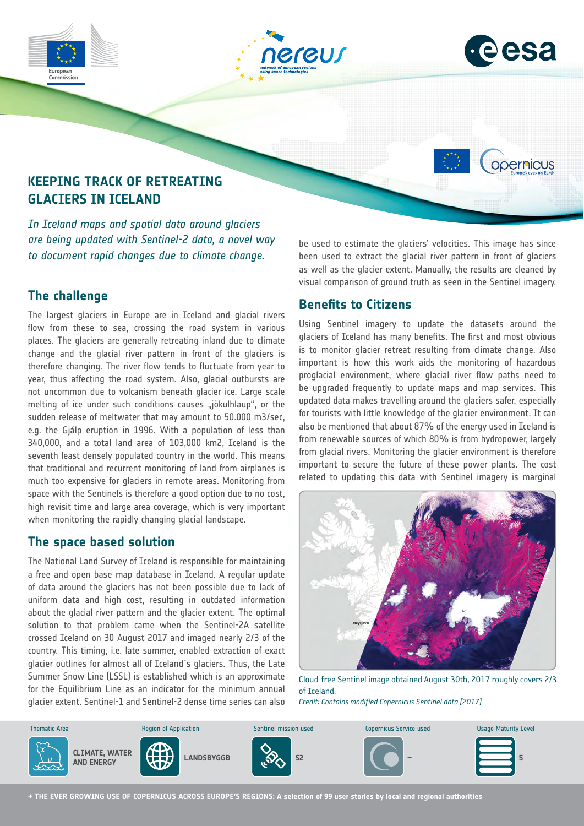



opernicus

# **KEEPING TRACK OF RETREATING GLACIERS IN ICELAND**

*In Iceland maps and spatial data around glaciers are being updated with Sentinel-2 data, a novel way to document rapid changes due to climate change.*

## **The challenge**

The largest glaciers in Europe are in Iceland and glacial rivers flow from these to sea, crossing the road system in various places. The glaciers are generally retreating inland due to climate change and the glacial river pattern in front of the glaciers is therefore changing. The river flow tends to fluctuate from year to year, thus affecting the road system. Also, glacial outbursts are not uncommon due to volcanism beneath glacier ice. Large scale melting of ice under such conditions causes "jökulhlaup", or the sudden release of meltwater that may amount to 50.000 m3/sec, e.g. the Gjálp eruption in 1996. With a population of less than 340,000, and a total land area of 103,000 km2, Iceland is the seventh least densely populated country in the world. This means that traditional and recurrent monitoring of land from airplanes is much too expensive for glaciers in remote areas. Monitoring from space with the Sentinels is therefore a good option due to no cost, high revisit time and large area coverage, which is very important when monitoring the rapidly changing glacial landscape.

#### **The space based solution**

The National Land Survey of Iceland is responsible for maintaining a free and open base map database in Iceland. A regular update of data around the glaciers has not been possible due to lack of uniform data and high cost, resulting in outdated information about the glacial river pattern and the glacier extent. The optimal solution to that problem came when the Sentinel-2A satellite crossed Iceland on 30 August 2017 and imaged nearly 2/3 of the country. This timing, i.e. late summer, enabled extraction of exact glacier outlines for almost all of Iceland´s glaciers. Thus, the Late Summer Snow Line (LSSL) is established which is an approximate for the Equilibrium Line as an indicator for the minimum annual glacier extent. Sentinel-1 and Sentinel-2 dense time series can also

be used to estimate the glaciers' velocities. This image has since been used to extract the glacial river pattern in front of glaciers as well as the glacier extent. Manually, the results are cleaned by visual comparison of ground truth as seen in the Sentinel imagery.

## **Benefits to Citizens**

Using Sentinel imagery to update the datasets around the glaciers of Iceland has many benefits. The first and most obvious is to monitor glacier retreat resulting from climate change. Also important is how this work aids the monitoring of hazardous proglacial environment, where glacial river flow paths need to be upgraded frequently to update maps and map services. This updated data makes travelling around the glaciers safer, especially for tourists with little knowledge of the glacier environment. It can also be mentioned that about 87% of the energy used in Iceland is from renewable sources of which 80% is from hydropower, largely from glacial rivers. Monitoring the glacier environment is therefore important to secure the future of these power plants. The cost related to updating this data with Sentinel imagery is marginal



Cloud-free Sentinel image obtained August 30th, 2017 roughly covers 2/3 of Iceland. *Credit: Contains modified Copernicus Sentinel data [2017]*



**→ THE EVER GROWING USE OF COPERNICUS ACROSS EUROPE'S REGIONS: A selection of 99 user stories by local and regional authorities**